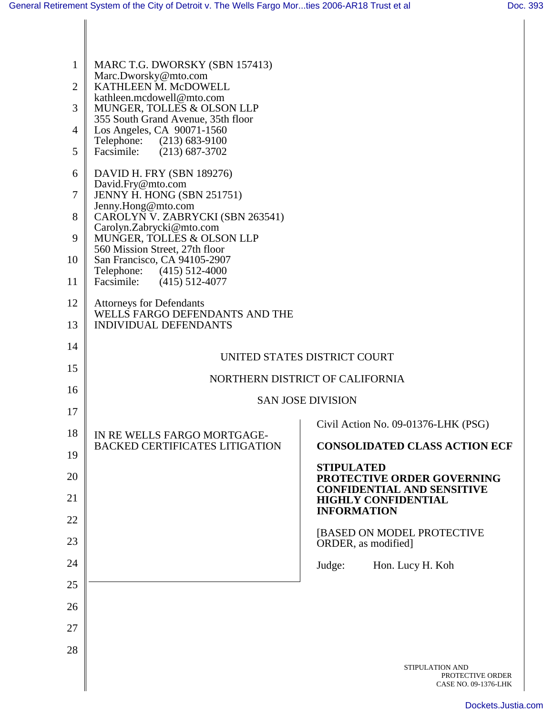| $\mathbf{1}$<br>$\overline{2}$<br>3<br>$\overline{4}$<br>5<br>6<br>7 | MARC T.G. DWORSKY (SBN 157413)<br>Marc.Dworsky@mto.com<br>KATHLEEN M. McDOWELL<br>kathleen.mcdowell@mto.com<br>MUNGER, TOLLES & OLSON LLP<br>355 South Grand Avenue, 35th floor<br>Los Angeles, CA 90071-1560<br>Telephone: (213) 683-9100<br>Facsimile:<br>$(213) 687 - 3702$<br>DAVID H. FRY (SBN 189276)<br>David.Fry@mto.com<br>JENNY H. HONG (SBN 251751) |                                                                           |
|----------------------------------------------------------------------|----------------------------------------------------------------------------------------------------------------------------------------------------------------------------------------------------------------------------------------------------------------------------------------------------------------------------------------------------------------|---------------------------------------------------------------------------|
| 8                                                                    | Jenny.Hong@mto.com<br>CAROLYN V. ZABRYCKI (SBN 263541)                                                                                                                                                                                                                                                                                                         |                                                                           |
| 9                                                                    | Carolyn.Zabrycki@mto.com<br>MUNGER, TOLLES & OLSON LLP<br>560 Mission Street, 27th floor                                                                                                                                                                                                                                                                       |                                                                           |
| 10                                                                   | San Francisco, CA 94105-2907<br>Telephone:<br>$(415)$ 512-4000                                                                                                                                                                                                                                                                                                 |                                                                           |
| 11                                                                   | Facsimile:<br>$(415)$ 512-4077                                                                                                                                                                                                                                                                                                                                 |                                                                           |
| 12                                                                   | <b>Attorneys for Defendants</b><br>WELLS FARGO DEFENDANTS AND THE                                                                                                                                                                                                                                                                                              |                                                                           |
| 13                                                                   | <b>INDIVIDUAL DEFENDANTS</b>                                                                                                                                                                                                                                                                                                                                   |                                                                           |
| 14                                                                   | UNITED STATES DISTRICT COURT                                                                                                                                                                                                                                                                                                                                   |                                                                           |
| 15                                                                   | NORTHERN DISTRICT OF CALIFORNIA                                                                                                                                                                                                                                                                                                                                |                                                                           |
| 16                                                                   | <b>SAN JOSE DIVISION</b>                                                                                                                                                                                                                                                                                                                                       |                                                                           |
| 17                                                                   |                                                                                                                                                                                                                                                                                                                                                                | Civil Action No. 09-01376-LHK (PSG)                                       |
| 18<br>19                                                             | IN RE WELLS FARGO MORTGAGE-<br><b>BACKED CERTIFICATES LITIGATION</b>                                                                                                                                                                                                                                                                                           | <b>CONSOLIDATED CLASS ACTION ECF</b>                                      |
| 20                                                                   |                                                                                                                                                                                                                                                                                                                                                                | <b>STIPULATED</b><br>PROTECTIVE ORDER GOVERNING                           |
| 21                                                                   |                                                                                                                                                                                                                                                                                                                                                                | <b>CONFIDENTIAL AND SENSITIVE</b><br><b>HIGHLY CONFIDENTIAL</b>           |
| 22                                                                   |                                                                                                                                                                                                                                                                                                                                                                | <b>INFORMATION</b>                                                        |
| 23                                                                   |                                                                                                                                                                                                                                                                                                                                                                | [BASED ON MODEL PROTECTIVE<br>ORDER, as modified]                         |
| 24                                                                   |                                                                                                                                                                                                                                                                                                                                                                | Hon. Lucy H. Koh<br>Judge:                                                |
| 25                                                                   |                                                                                                                                                                                                                                                                                                                                                                |                                                                           |
| 26                                                                   |                                                                                                                                                                                                                                                                                                                                                                |                                                                           |
| 27                                                                   |                                                                                                                                                                                                                                                                                                                                                                |                                                                           |
| 28                                                                   |                                                                                                                                                                                                                                                                                                                                                                |                                                                           |
|                                                                      |                                                                                                                                                                                                                                                                                                                                                                | <b>STIPULATION AND</b><br>PROTECTIVE ORDER<br><b>CASE NO. 09-1376-LHK</b> |

[Dockets.Justia.com](http://dockets.justia.com/)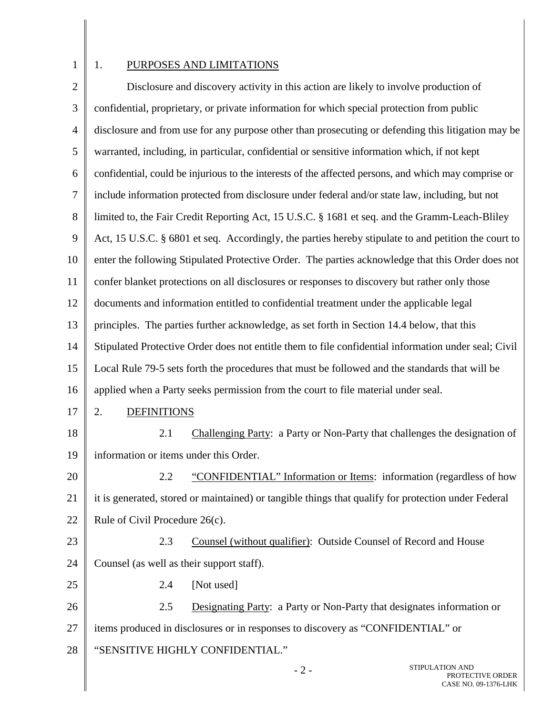1

## 1. PURPOSES AND LIMITATIONS

2 3 4 5 6 7 8 9 10 11 12 13 14 15 16 17 18 19 20 21 22 23 24 25 26 27 28  $-2 -$ STIPULATION AND Disclosure and discovery activity in this action are likely to involve production of confidential, proprietary, or private information for which special protection from public disclosure and from use for any purpose other than prosecuting or defending this litigation may be warranted, including, in particular, confidential or sensitive information which, if not kept confidential, could be injurious to the interests of the affected persons, and which may comprise or include information protected from disclosure under federal and/or state law, including, but not limited to, the Fair Credit Reporting Act, 15 U.S.C. § 1681 et seq. and the Gramm-Leach-Bliley Act, 15 U.S.C. § 6801 et seq. Accordingly, the parties hereby stipulate to and petition the court to enter the following Stipulated Protective Order. The parties acknowledge that this Order does not confer blanket protections on all disclosures or responses to discovery but rather only those documents and information entitled to confidential treatment under the applicable legal principles. The parties further acknowledge, as set forth in Section 14.4 below, that this Stipulated Protective Order does not entitle them to file confidential information under seal; Civil Local Rule 79-5 sets forth the procedures that must be followed and the standards that will be applied when a Party seeks permission from the court to file material under seal. 2. DEFINITIONS 2.1 Challenging Party: a Party or Non-Party that challenges the designation of information or items under this Order. 2.2 "CONFIDENTIAL" Information or Items: information (regardless of how it is generated, stored or maintained) or tangible things that qualify for protection under Federal Rule of Civil Procedure 26(c). 2.3 Counsel (without qualifier): Outside Counsel of Record and House Counsel (as well as their support staff). 2.4 [Not used] 2.5 Designating Party: a Party or Non-Party that designates information or items produced in disclosures or in responses to discovery as "CONFIDENTIAL" or "SENSITIVE HIGHLY CONFIDENTIAL."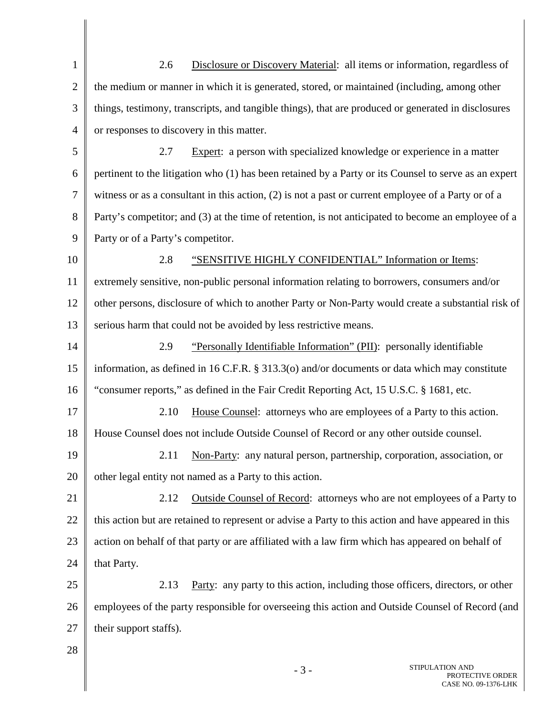1 2 3 4 5 6 7 8 9 10 11 12 13 14 15 16 17 18 19 20 21 22 23 24 25 26 27 28 2.6 Disclosure or Discovery Material: all items or information, regardless of the medium or manner in which it is generated, stored, or maintained (including, among other things, testimony, transcripts, and tangible things), that are produced or generated in disclosures or responses to discovery in this matter. 2.7 Expert: a person with specialized knowledge or experience in a matter pertinent to the litigation who (1) has been retained by a Party or its Counsel to serve as an expert witness or as a consultant in this action, (2) is not a past or current employee of a Party or of a Party's competitor; and (3) at the time of retention, is not anticipated to become an employee of a Party or of a Party's competitor. 2.8 "SENSITIVE HIGHLY CONFIDENTIAL" Information or Items: extremely sensitive, non-public personal information relating to borrowers, consumers and/or other persons, disclosure of which to another Party or Non-Party would create a substantial risk of serious harm that could not be avoided by less restrictive means. 2.9 "Personally Identifiable Information" (PII): personally identifiable information, as defined in 16 C.F.R. § 313.3(o) and/or documents or data which may constitute "consumer reports," as defined in the Fair Credit Reporting Act, 15 U.S.C. § 1681, etc. 2.10 House Counsel: attorneys who are employees of a Party to this action. House Counsel does not include Outside Counsel of Record or any other outside counsel. 2.11 Non-Party: any natural person, partnership, corporation, association, or other legal entity not named as a Party to this action. 2.12 Outside Counsel of Record: attorneys who are not employees of a Party to this action but are retained to represent or advise a Party to this action and have appeared in this action on behalf of that party or are affiliated with a law firm which has appeared on behalf of that Party. 2.13 Party: any party to this action, including those officers, directors, or other employees of the party responsible for overseeing this action and Outside Counsel of Record (and their support staffs).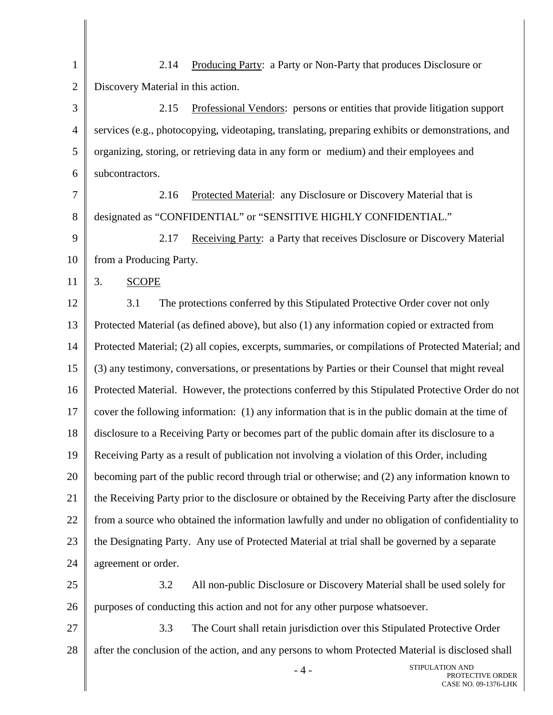1  $\mathfrak{D}$ 3 4 5 6 7 8 9 10 11 12 13 14 15 16 17 18 19 20 21 22 23 24 25 26 27 28  $-4-$ STIPULATION AND 2.14 Producing Party: a Party or Non-Party that produces Disclosure or Discovery Material in this action. 2.15 Professional Vendors: persons or entities that provide litigation support services (e.g., photocopying, videotaping, translating, preparing exhibits or demonstrations, and organizing, storing, or retrieving data in any form or medium) and their employees and subcontractors. 2.16 Protected Material: any Disclosure or Discovery Material that is designated as "CONFIDENTIAL" or "SENSITIVE HIGHLY CONFIDENTIAL." 2.17 Receiving Party: a Party that receives Disclosure or Discovery Material from a Producing Party. 3. SCOPE 3.1 The protections conferred by this Stipulated Protective Order cover not only Protected Material (as defined above), but also (1) any information copied or extracted from Protected Material; (2) all copies, excerpts, summaries, or compilations of Protected Material; and (3) any testimony, conversations, or presentations by Parties or their Counsel that might reveal Protected Material. However, the protections conferred by this Stipulated Protective Order do not cover the following information: (1) any information that is in the public domain at the time of disclosure to a Receiving Party or becomes part of the public domain after its disclosure to a Receiving Party as a result of publication not involving a violation of this Order, including becoming part of the public record through trial or otherwise; and (2) any information known to the Receiving Party prior to the disclosure or obtained by the Receiving Party after the disclosure from a source who obtained the information lawfully and under no obligation of confidentiality to the Designating Party. Any use of Protected Material at trial shall be governed by a separate agreement or order. 3.2 All non-public Disclosure or Discovery Material shall be used solely for purposes of conducting this action and not for any other purpose whatsoever. 3.3 The Court shall retain jurisdiction over this Stipulated Protective Order after the conclusion of the action, and any persons to whom Protected Material is disclosed shall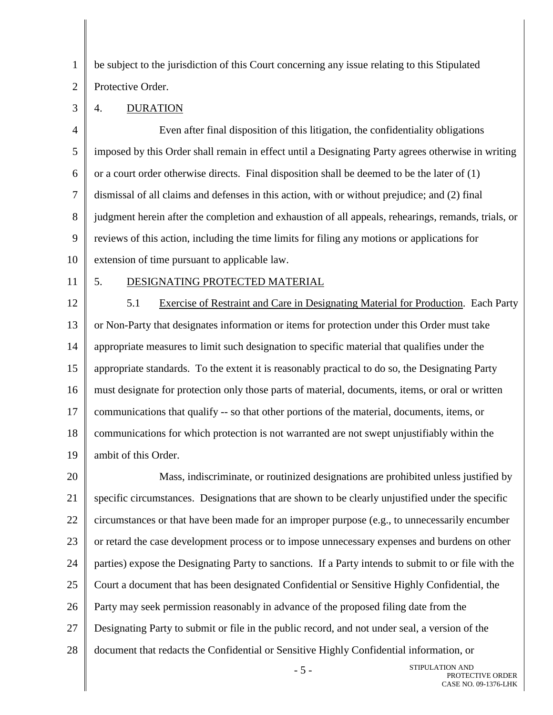be subject to the jurisdiction of this Court concerning any issue relating to this Stipulated

 $\mathfrak{D}$ Protective Order.

4. DURATION

4 5 6 7 8 9 10 Even after final disposition of this litigation, the confidentiality obligations imposed by this Order shall remain in effect until a Designating Party agrees otherwise in writing or a court order otherwise directs. Final disposition shall be deemed to be the later of (1) dismissal of all claims and defenses in this action, with or without prejudice; and (2) final judgment herein after the completion and exhaustion of all appeals, rehearings, remands, trials, or reviews of this action, including the time limits for filing any motions or applications for extension of time pursuant to applicable law.

11

1

3

## 5. DESIGNATING PROTECTED MATERIAL

12 13 14 15 16 17 18 19 5.1 Exercise of Restraint and Care in Designating Material for Production. Each Party or Non-Party that designates information or items for protection under this Order must take appropriate measures to limit such designation to specific material that qualifies under the appropriate standards. To the extent it is reasonably practical to do so, the Designating Party must designate for protection only those parts of material, documents, items, or oral or written communications that qualify -- so that other portions of the material, documents, items, or communications for which protection is not warranted are not swept unjustifiably within the ambit of this Order.

20 21 22 23 24 25 26 27 28 Mass, indiscriminate, or routinized designations are prohibited unless justified by specific circumstances. Designations that are shown to be clearly unjustified under the specific circumstances or that have been made for an improper purpose (e.g., to unnecessarily encumber or retard the case development process or to impose unnecessary expenses and burdens on other parties) expose the Designating Party to sanctions. If a Party intends to submit to or file with the Court a document that has been designated Confidential or Sensitive Highly Confidential, the Party may seek permission reasonably in advance of the proposed filing date from the Designating Party to submit or file in the public record, and not under seal, a version of the document that redacts the Confidential or Sensitive Highly Confidential information, or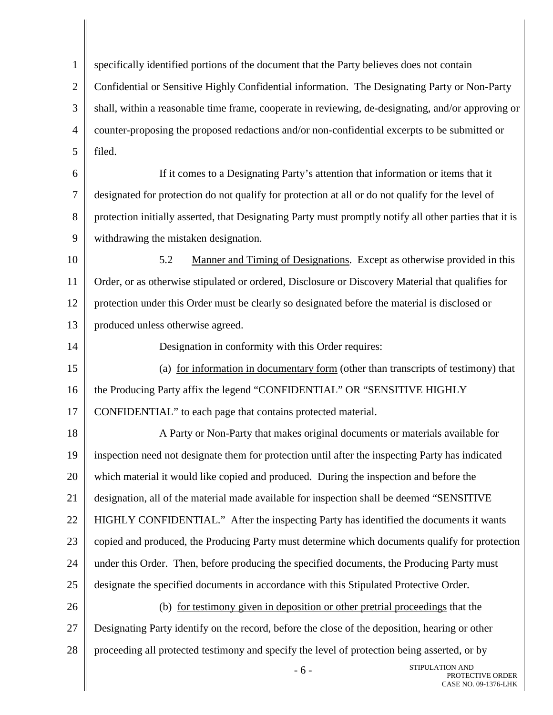1  $\mathfrak{D}$ 3 4 5 6 7 8 9 10 11 12 13 14 15 16 17 18 19 20 21 22 23 24 25 26 27 28 STIPULATION AND specifically identified portions of the document that the Party believes does not contain Confidential or Sensitive Highly Confidential information. The Designating Party or Non-Party shall, within a reasonable time frame, cooperate in reviewing, de-designating, and/or approving or counter-proposing the proposed redactions and/or non-confidential excerpts to be submitted or filed. If it comes to a Designating Party's attention that information or items that it designated for protection do not qualify for protection at all or do not qualify for the level of protection initially asserted, that Designating Party must promptly notify all other parties that it is withdrawing the mistaken designation. 5.2 Manner and Timing of Designations. Except as otherwise provided in this Order, or as otherwise stipulated or ordered, Disclosure or Discovery Material that qualifies for protection under this Order must be clearly so designated before the material is disclosed or produced unless otherwise agreed. Designation in conformity with this Order requires: (a) for information in documentary form (other than transcripts of testimony) that the Producing Party affix the legend "CONFIDENTIAL" OR "SENSITIVE HIGHLY CONFIDENTIAL" to each page that contains protected material. A Party or Non-Party that makes original documents or materials available for inspection need not designate them for protection until after the inspecting Party has indicated which material it would like copied and produced. During the inspection and before the designation, all of the material made available for inspection shall be deemed "SENSITIVE HIGHLY CONFIDENTIAL." After the inspecting Party has identified the documents it wants copied and produced, the Producing Party must determine which documents qualify for protection under this Order. Then, before producing the specified documents, the Producing Party must designate the specified documents in accordance with this Stipulated Protective Order. (b) for testimony given in deposition or other pretrial proceedings that the Designating Party identify on the record, before the close of the deposition, hearing or other proceeding all protected testimony and specify the level of protection being asserted, or by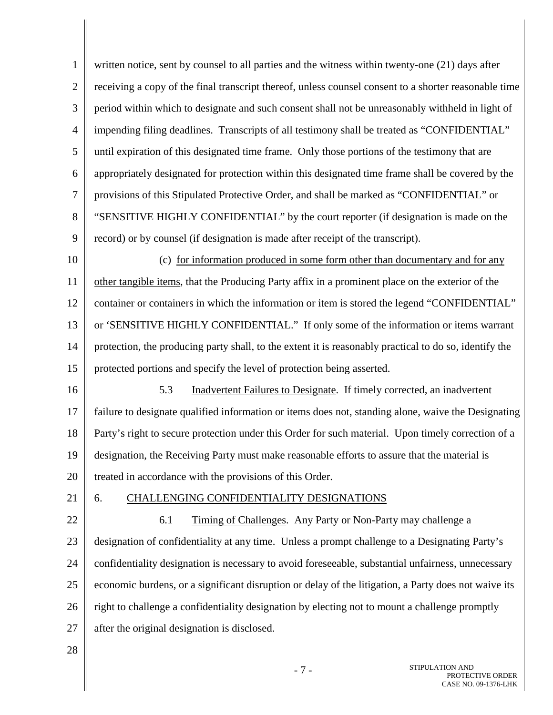1 2 3 4 5 6 7 8 9 10 11 12 13 14 15 16 17 18 19 20 21 22 23 24 25 26 27 written notice, sent by counsel to all parties and the witness within twenty-one (21) days after receiving a copy of the final transcript thereof, unless counsel consent to a shorter reasonable time period within which to designate and such consent shall not be unreasonably withheld in light of impending filing deadlines. Transcripts of all testimony shall be treated as "CONFIDENTIAL" until expiration of this designated time frame. Only those portions of the testimony that are appropriately designated for protection within this designated time frame shall be covered by the provisions of this Stipulated Protective Order, and shall be marked as "CONFIDENTIAL" or "SENSITIVE HIGHLY CONFIDENTIAL" by the court reporter (if designation is made on the record) or by counsel (if designation is made after receipt of the transcript). (c) for information produced in some form other than documentary and for any other tangible items, that the Producing Party affix in a prominent place on the exterior of the container or containers in which the information or item is stored the legend "CONFIDENTIAL" or 'SENSITIVE HIGHLY CONFIDENTIAL." If only some of the information or items warrant protection, the producing party shall, to the extent it is reasonably practical to do so, identify the protected portions and specify the level of protection being asserted. 5.3 Inadvertent Failures to Designate. If timely corrected, an inadvertent failure to designate qualified information or items does not, standing alone, waive the Designating Party's right to secure protection under this Order for such material. Upon timely correction of a designation, the Receiving Party must make reasonable efforts to assure that the material is treated in accordance with the provisions of this Order. 6. CHALLENGING CONFIDENTIALITY DESIGNATIONS 6.1 Timing of Challenges. Any Party or Non-Party may challenge a designation of confidentiality at any time. Unless a prompt challenge to a Designating Party's confidentiality designation is necessary to avoid foreseeable, substantial unfairness, unnecessary economic burdens, or a significant disruption or delay of the litigation, a Party does not waive its right to challenge a confidentiality designation by electing not to mount a challenge promptly after the original designation is disclosed.

28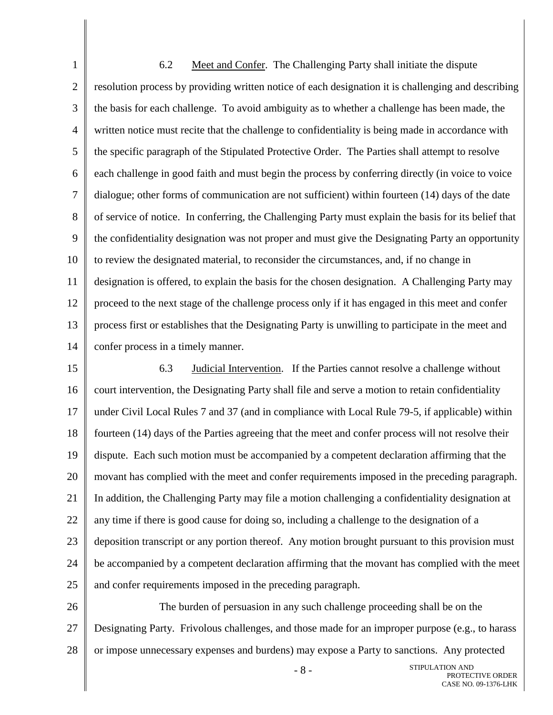1 2 3 4 5 6 7 8 9 10 11 12 13 14 6.2 Meet and Confer. The Challenging Party shall initiate the dispute resolution process by providing written notice of each designation it is challenging and describing the basis for each challenge. To avoid ambiguity as to whether a challenge has been made, the written notice must recite that the challenge to confidentiality is being made in accordance with the specific paragraph of the Stipulated Protective Order. The Parties shall attempt to resolve each challenge in good faith and must begin the process by conferring directly (in voice to voice dialogue; other forms of communication are not sufficient) within fourteen (14) days of the date of service of notice. In conferring, the Challenging Party must explain the basis for its belief that the confidentiality designation was not proper and must give the Designating Party an opportunity to review the designated material, to reconsider the circumstances, and, if no change in designation is offered, to explain the basis for the chosen designation. A Challenging Party may proceed to the next stage of the challenge process only if it has engaged in this meet and confer process first or establishes that the Designating Party is unwilling to participate in the meet and confer process in a timely manner.

15 16 17 18 19 20 21 22 23 24 25 6.3 Judicial Intervention. If the Parties cannot resolve a challenge without court intervention, the Designating Party shall file and serve a motion to retain confidentiality under Civil Local Rules 7 and 37 (and in compliance with Local Rule 79-5, if applicable) within fourteen (14) days of the Parties agreeing that the meet and confer process will not resolve their dispute. Each such motion must be accompanied by a competent declaration affirming that the movant has complied with the meet and confer requirements imposed in the preceding paragraph. In addition, the Challenging Party may file a motion challenging a confidentiality designation at any time if there is good cause for doing so, including a challenge to the designation of a deposition transcript or any portion thereof. Any motion brought pursuant to this provision must be accompanied by a competent declaration affirming that the movant has complied with the meet and confer requirements imposed in the preceding paragraph.

26 27 28 The burden of persuasion in any such challenge proceeding shall be on the Designating Party. Frivolous challenges, and those made for an improper purpose (e.g., to harass or impose unnecessary expenses and burdens) may expose a Party to sanctions. Any protected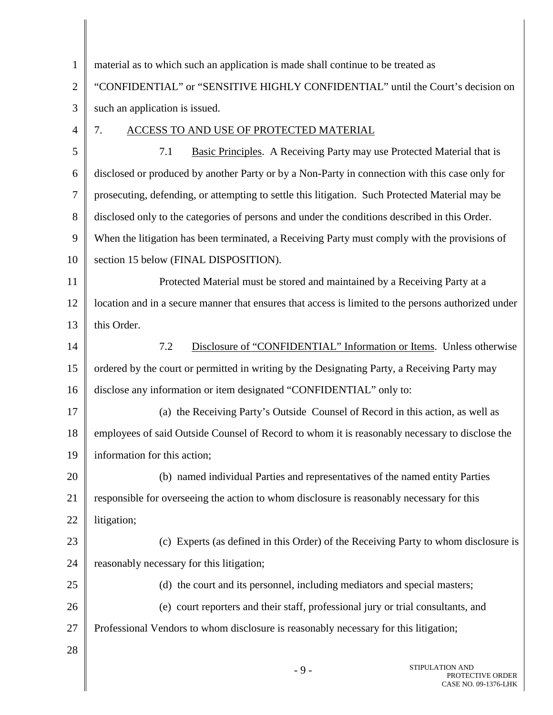| $\mathbf{1}$   | material as to which such an application is made shall continue to be treated as                    |
|----------------|-----------------------------------------------------------------------------------------------------|
| $\overline{2}$ | "CONFIDENTIAL" or "SENSITIVE HIGHLY CONFIDENTIAL" until the Court's decision on                     |
| 3              | such an application is issued.                                                                      |
| 4              | 7.<br>ACCESS TO AND USE OF PROTECTED MATERIAL                                                       |
| 5              | 7.1<br><b>Basic Principles.</b> A Receiving Party may use Protected Material that is                |
| 6              | disclosed or produced by another Party or by a Non-Party in connection with this case only for      |
| 7              | prosecuting, defending, or attempting to settle this litigation. Such Protected Material may be     |
| 8              | disclosed only to the categories of persons and under the conditions described in this Order.       |
| 9              | When the litigation has been terminated, a Receiving Party must comply with the provisions of       |
| 10             | section 15 below (FINAL DISPOSITION).                                                               |
| 11             | Protected Material must be stored and maintained by a Receiving Party at a                          |
| 12             | location and in a secure manner that ensures that access is limited to the persons authorized under |
| 13             | this Order.                                                                                         |
| 14             | Disclosure of "CONFIDENTIAL" Information or Items. Unless otherwise<br>7.2                          |
| 15             | ordered by the court or permitted in writing by the Designating Party, a Receiving Party may        |
| 16             | disclose any information or item designated "CONFIDENTIAL" only to:                                 |
| 17             | (a) the Receiving Party's Outside Counsel of Record in this action, as well as                      |
| 18             | employees of said Outside Counsel of Record to whom it is reasonably necessary to disclose the      |
| 19             | information for this action;                                                                        |
| 20             | (b) named individual Parties and representatives of the named entity Parties                        |
| 21             | responsible for overseeing the action to whom disclosure is reasonably necessary for this           |
| 22             | litigation;                                                                                         |
| 23             | (c) Experts (as defined in this Order) of the Receiving Party to whom disclosure is                 |
| 24             | reasonably necessary for this litigation;                                                           |
| 25             | (d) the court and its personnel, including mediators and special masters;                           |
| 26             | (e) court reporters and their staff, professional jury or trial consultants, and                    |
| 27             | Professional Vendors to whom disclosure is reasonably necessary for this litigation;                |
| 28             |                                                                                                     |
|                | STIPULATION AND                                                                                     |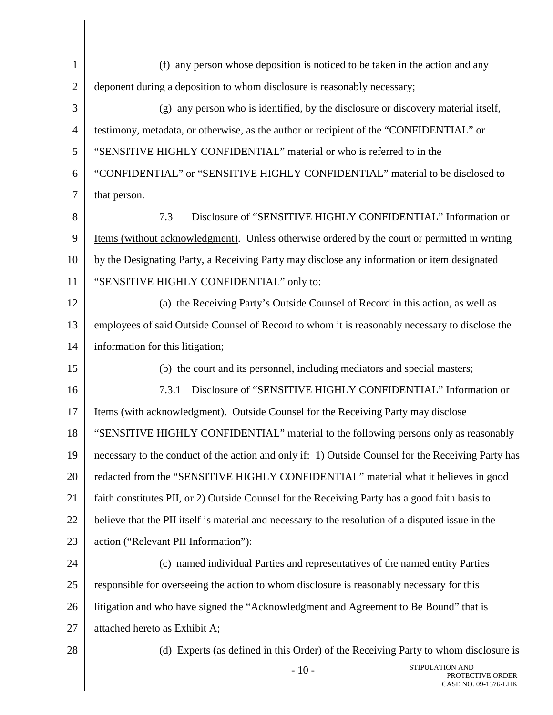| $\mathbf{1}$   | (f) any person whose deposition is noticed to be taken in the action and any                       |  |
|----------------|----------------------------------------------------------------------------------------------------|--|
| $\mathbf{2}$   | deponent during a deposition to whom disclosure is reasonably necessary;                           |  |
| 3              | (g) any person who is identified, by the disclosure or discovery material itself,                  |  |
| $\overline{4}$ | testimony, metadata, or otherwise, as the author or recipient of the "CONFIDENTIAL" or             |  |
| 5              | "SENSITIVE HIGHLY CONFIDENTIAL" material or who is referred to in the                              |  |
| 6              | "CONFIDENTIAL" or "SENSITIVE HIGHLY CONFIDENTIAL" material to be disclosed to                      |  |
| 7              | that person.                                                                                       |  |
| 8              | Disclosure of "SENSITIVE HIGHLY CONFIDENTIAL" Information or<br>7.3                                |  |
| 9              | Items (without acknowledgment). Unless otherwise ordered by the court or permitted in writing      |  |
| 10             | by the Designating Party, a Receiving Party may disclose any information or item designated        |  |
| 11             | "SENSITIVE HIGHLY CONFIDENTIAL" only to:                                                           |  |
| 12             | (a) the Receiving Party's Outside Counsel of Record in this action, as well as                     |  |
| 13             | employees of said Outside Counsel of Record to whom it is reasonably necessary to disclose the     |  |
| 14             | information for this litigation;                                                                   |  |
| 15             | (b) the court and its personnel, including mediators and special masters;                          |  |
| 16             | Disclosure of "SENSITIVE HIGHLY CONFIDENTIAL" Information or<br>7.3.1                              |  |
| 17             | Items (with acknowledgment). Outside Counsel for the Receiving Party may disclose                  |  |
| 18             | "SENSITIVE HIGHLY CONFIDENTIAL" material to the following persons only as reasonably               |  |
| 19             | necessary to the conduct of the action and only if: 1) Outside Counsel for the Receiving Party has |  |
| 20             | redacted from the "SENSITIVE HIGHLY CONFIDENTIAL" material what it believes in good                |  |
| 21             | faith constitutes PII, or 2) Outside Counsel for the Receiving Party has a good faith basis to     |  |
| 22             | believe that the PII itself is material and necessary to the resolution of a disputed issue in the |  |
| 23             | action ("Relevant PII Information"):                                                               |  |
| 24             | (c) named individual Parties and representatives of the named entity Parties                       |  |
| 25             | responsible for overseeing the action to whom disclosure is reasonably necessary for this          |  |
| 26             | litigation and who have signed the "Acknowledgment and Agreement to Be Bound" that is              |  |
| 27             | attached hereto as Exhibit A;                                                                      |  |
| 28             | (d) Experts (as defined in this Order) of the Receiving Party to whom disclosure is                |  |
|                | STIPULATION AND<br>$-10-$<br>PROTECTIVE ORDER<br>CASE NO. 09-1376-LHK                              |  |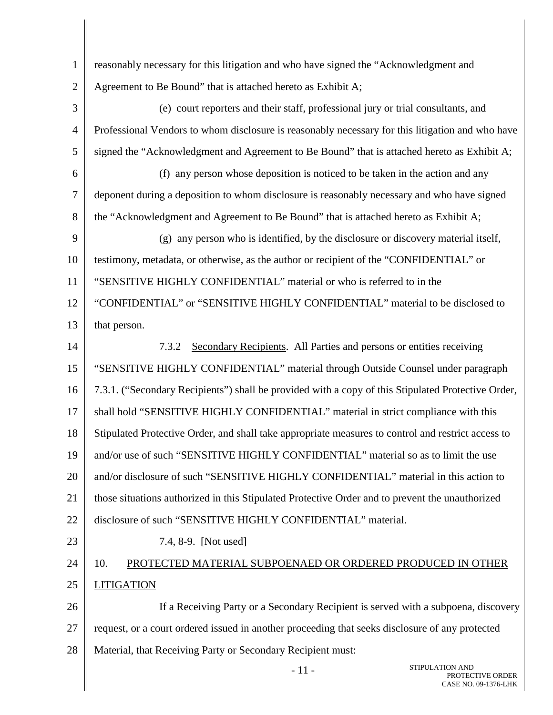- 1  $\mathfrak{D}$ 3 4 5 6 7 8 9 10 11 12 13 14 15 16 17 18 reasonably necessary for this litigation and who have signed the "Acknowledgment and Agreement to Be Bound" that is attached hereto as Exhibit A; (e) court reporters and their staff, professional jury or trial consultants, and Professional Vendors to whom disclosure is reasonably necessary for this litigation and who have signed the "Acknowledgment and Agreement to Be Bound" that is attached hereto as Exhibit A; (f) any person whose deposition is noticed to be taken in the action and any deponent during a deposition to whom disclosure is reasonably necessary and who have signed the "Acknowledgment and Agreement to Be Bound" that is attached hereto as Exhibit A; (g) any person who is identified, by the disclosure or discovery material itself, testimony, metadata, or otherwise, as the author or recipient of the "CONFIDENTIAL" or "SENSITIVE HIGHLY CONFIDENTIAL" material or who is referred to in the "CONFIDENTIAL" or "SENSITIVE HIGHLY CONFIDENTIAL" material to be disclosed to that person. 7.3.2 Secondary Recipients. All Parties and persons or entities receiving "SENSITIVE HIGHLY CONFIDENTIAL" material through Outside Counsel under paragraph 7.3.1. ("Secondary Recipients") shall be provided with a copy of this Stipulated Protective Order, shall hold "SENSITIVE HIGHLY CONFIDENTIAL" material in strict compliance with this Stipulated Protective Order, and shall take appropriate measures to control and restrict access to
- 19 20 and/or use of such "SENSITIVE HIGHLY CONFIDENTIAL" material so as to limit the use and/or disclosure of such "SENSITIVE HIGHLY CONFIDENTIAL" material in this action to
- 21 those situations authorized in this Stipulated Protective Order and to prevent the unauthorized
- 22 disclosure of such "SENSITIVE HIGHLY CONFIDENTIAL" material.
- 23

7.4, 8-9. [Not used]

## 24 25 10. PROTECTED MATERIAL SUBPOENAED OR ORDERED PRODUCED IN OTHER LITIGATION

26 27 28 If a Receiving Party or a Secondary Recipient is served with a subpoena, discovery request, or a court ordered issued in another proceeding that seeks disclosure of any protected Material, that Receiving Party or Secondary Recipient must: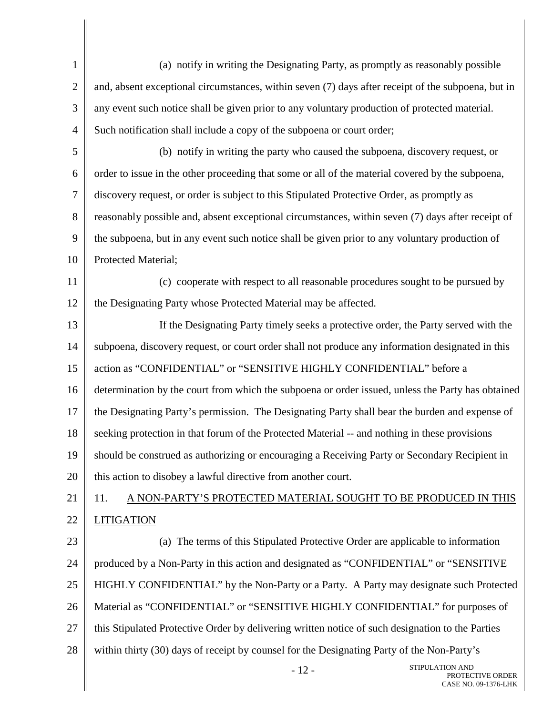1 2 3 4 5 6 7 8 9 10 11 12 13 14 15 16 17 18 19 20 21 22 23 24 25 26 27 28 - 12 - STIPULATION AND (a) notify in writing the Designating Party, as promptly as reasonably possible and, absent exceptional circumstances, within seven (7) days after receipt of the subpoena, but in any event such notice shall be given prior to any voluntary production of protected material. Such notification shall include a copy of the subpoena or court order; (b) notify in writing the party who caused the subpoena, discovery request, or order to issue in the other proceeding that some or all of the material covered by the subpoena, discovery request, or order is subject to this Stipulated Protective Order, as promptly as reasonably possible and, absent exceptional circumstances, within seven (7) days after receipt of the subpoena, but in any event such notice shall be given prior to any voluntary production of Protected Material; (c) cooperate with respect to all reasonable procedures sought to be pursued by the Designating Party whose Protected Material may be affected. If the Designating Party timely seeks a protective order, the Party served with the subpoena, discovery request, or court order shall not produce any information designated in this action as "CONFIDENTIAL" or "SENSITIVE HIGHLY CONFIDENTIAL" before a determination by the court from which the subpoena or order issued, unless the Party has obtained the Designating Party's permission. The Designating Party shall bear the burden and expense of seeking protection in that forum of the Protected Material -- and nothing in these provisions should be construed as authorizing or encouraging a Receiving Party or Secondary Recipient in this action to disobey a lawful directive from another court. 11. A NON-PARTY'S PROTECTED MATERIAL SOUGHT TO BE PRODUCED IN THIS LITIGATION (a) The terms of this Stipulated Protective Order are applicable to information produced by a Non-Party in this action and designated as "CONFIDENTIAL" or "SENSITIVE HIGHLY CONFIDENTIAL" by the Non-Party or a Party. A Party may designate such Protected Material as "CONFIDENTIAL" or "SENSITIVE HIGHLY CONFIDENTIAL" for purposes of this Stipulated Protective Order by delivering written notice of such designation to the Parties within thirty (30) days of receipt by counsel for the Designating Party of the Non-Party's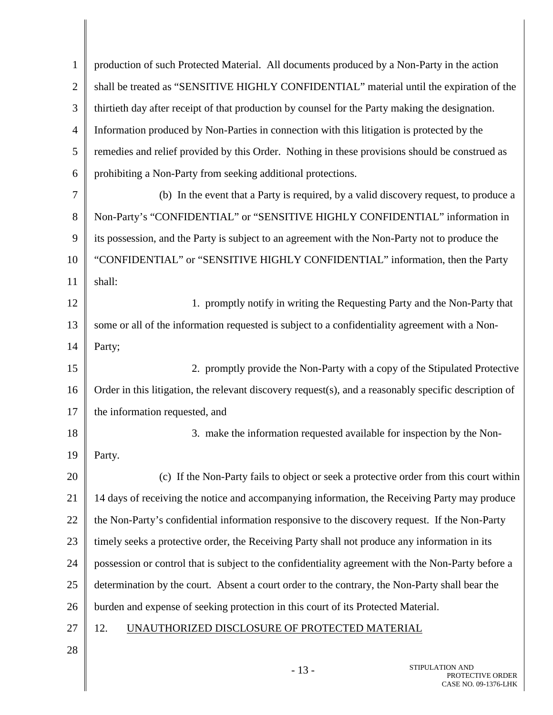| $\mathbf{1}$   | production of such Protected Material. All documents produced by a Non-Party in the action            |
|----------------|-------------------------------------------------------------------------------------------------------|
| $\overline{2}$ | shall be treated as "SENSITIVE HIGHLY CONFIDENTIAL" material until the expiration of the              |
| 3              | thirtieth day after receipt of that production by counsel for the Party making the designation.       |
| 4              | Information produced by Non-Parties in connection with this litigation is protected by the            |
| 5              | remedies and relief provided by this Order. Nothing in these provisions should be construed as        |
| 6              | prohibiting a Non-Party from seeking additional protections.                                          |
| 7              | (b) In the event that a Party is required, by a valid discovery request, to produce a                 |
| 8              | Non-Party's "CONFIDENTIAL" or "SENSITIVE HIGHLY CONFIDENTIAL" information in                          |
| 9              | its possession, and the Party is subject to an agreement with the Non-Party not to produce the        |
| 10             | "CONFIDENTIAL" or "SENSITIVE HIGHLY CONFIDENTIAL" information, then the Party                         |
| 11             | shall:                                                                                                |
| 12             | 1. promptly notify in writing the Requesting Party and the Non-Party that                             |
| 13             | some or all of the information requested is subject to a confidentiality agreement with a Non-        |
| 14             | Party;                                                                                                |
| 15             | 2. promptly provide the Non-Party with a copy of the Stipulated Protective                            |
| 16             | Order in this litigation, the relevant discovery request(s), and a reasonably specific description of |
| 17             | the information requested, and                                                                        |
| 18             | 3. make the information requested available for inspection by the Non-                                |
| 19             | Party.                                                                                                |
| 20             | (c) If the Non-Party fails to object or seek a protective order from this court within                |
| 21             | 14 days of receiving the notice and accompanying information, the Receiving Party may produce         |
| 22             | the Non-Party's confidential information responsive to the discovery request. If the Non-Party        |
| 23             | timely seeks a protective order, the Receiving Party shall not produce any information in its         |
| 24             | possession or control that is subject to the confidentiality agreement with the Non-Party before a    |
| 25             | determination by the court. Absent a court order to the contrary, the Non-Party shall bear the        |
| 26             | burden and expense of seeking protection in this court of its Protected Material.                     |
| 27             | 12.<br>UNAUTHORIZED DISCLOSURE OF PROTECTED MATERIAL                                                  |
| 28             |                                                                                                       |
|                | STIPULATION AND<br>12                                                                                 |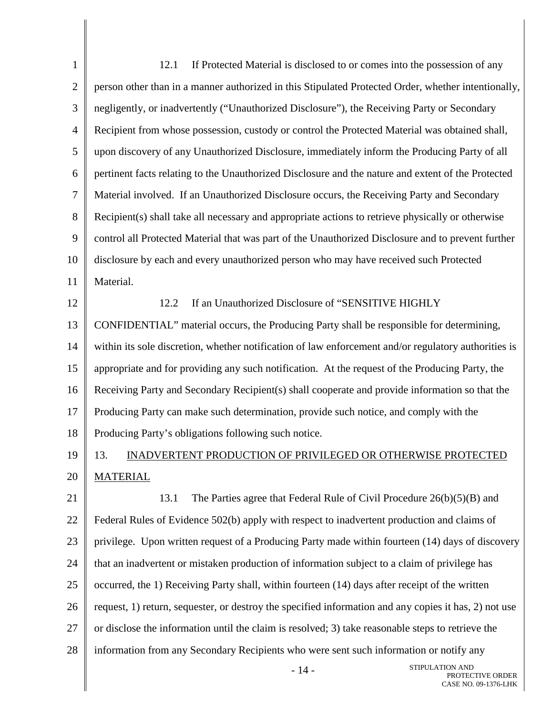1 2 3 4 5 6 7 8 9 10 11 12 13 14 15 16 17 18 19 20 21 22 23 24 25 26 27 28 12.1 If Protected Material is disclosed to or comes into the possession of any person other than in a manner authorized in this Stipulated Protected Order, whether intentionally, negligently, or inadvertently ("Unauthorized Disclosure"), the Receiving Party or Secondary Recipient from whose possession, custody or control the Protected Material was obtained shall, upon discovery of any Unauthorized Disclosure, immediately inform the Producing Party of all pertinent facts relating to the Unauthorized Disclosure and the nature and extent of the Protected Material involved. If an Unauthorized Disclosure occurs, the Receiving Party and Secondary Recipient(s) shall take all necessary and appropriate actions to retrieve physically or otherwise control all Protected Material that was part of the Unauthorized Disclosure and to prevent further disclosure by each and every unauthorized person who may have received such Protected Material. 12.2 If an Unauthorized Disclosure of "SENSITIVE HIGHLY CONFIDENTIAL" material occurs, the Producing Party shall be responsible for determining, within its sole discretion, whether notification of law enforcement and/or regulatory authorities is appropriate and for providing any such notification. At the request of the Producing Party, the Receiving Party and Secondary Recipient(s) shall cooperate and provide information so that the Producing Party can make such determination, provide such notice, and comply with the Producing Party's obligations following such notice. 13. INADVERTENT PRODUCTION OF PRIVILEGED OR OTHERWISE PROTECTED MATERIAL 13.1 The Parties agree that Federal Rule of Civil Procedure 26(b)(5)(B) and Federal Rules of Evidence 502(b) apply with respect to inadvertent production and claims of privilege. Upon written request of a Producing Party made within fourteen (14) days of discovery that an inadvertent or mistaken production of information subject to a claim of privilege has occurred, the 1) Receiving Party shall, within fourteen (14) days after receipt of the written request, 1) return, sequester, or destroy the specified information and any copies it has, 2) not use or disclose the information until the claim is resolved; 3) take reasonable steps to retrieve the information from any Secondary Recipients who were sent such information or notify any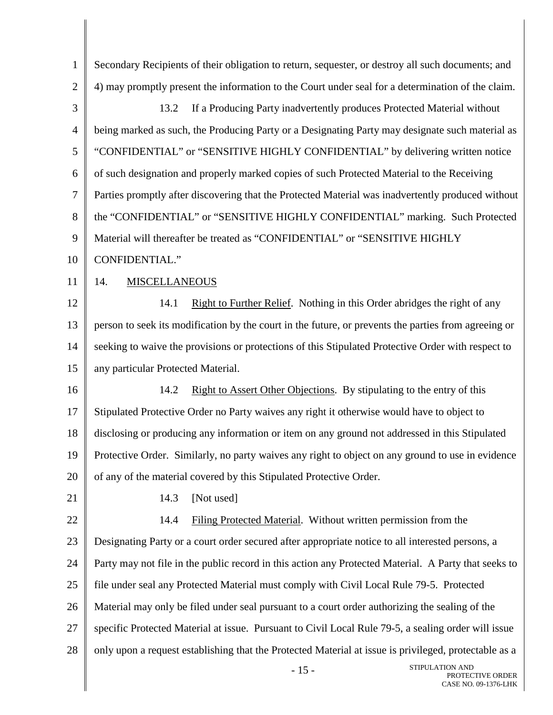1  $\mathfrak{D}$ 3 4 5 6 7 8 9 10 11 12 13 14 15 16 17 18 19 20 21 22 23 24 25 26 27 28 STIPULATION AND Secondary Recipients of their obligation to return, sequester, or destroy all such documents; and 4) may promptly present the information to the Court under seal for a determination of the claim. 13.2 If a Producing Party inadvertently produces Protected Material without being marked as such, the Producing Party or a Designating Party may designate such material as "CONFIDENTIAL" or "SENSITIVE HIGHLY CONFIDENTIAL" by delivering written notice of such designation and properly marked copies of such Protected Material to the Receiving Parties promptly after discovering that the Protected Material was inadvertently produced without the "CONFIDENTIAL" or "SENSITIVE HIGHLY CONFIDENTIAL" marking. Such Protected Material will thereafter be treated as "CONFIDENTIAL" or "SENSITIVE HIGHLY CONFIDENTIAL." 14. MISCELLANEOUS 14.1 Right to Further Relief. Nothing in this Order abridges the right of any person to seek its modification by the court in the future, or prevents the parties from agreeing or seeking to waive the provisions or protections of this Stipulated Protective Order with respect to any particular Protected Material. 14.2 Right to Assert Other Objections. By stipulating to the entry of this Stipulated Protective Order no Party waives any right it otherwise would have to object to disclosing or producing any information or item on any ground not addressed in this Stipulated Protective Order. Similarly, no party waives any right to object on any ground to use in evidence of any of the material covered by this Stipulated Protective Order. 14.3 [Not used] 14.4 Filing Protected Material. Without written permission from the Designating Party or a court order secured after appropriate notice to all interested persons, a Party may not file in the public record in this action any Protected Material. A Party that seeks to file under seal any Protected Material must comply with Civil Local Rule 79-5. Protected Material may only be filed under seal pursuant to a court order authorizing the sealing of the specific Protected Material at issue. Pursuant to Civil Local Rule 79-5, a sealing order will issue only upon a request establishing that the Protected Material at issue is privileged, protectable as a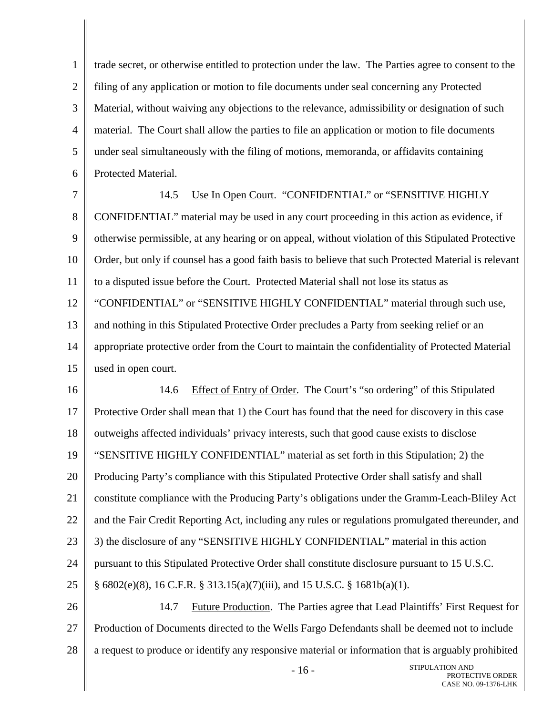1 2 3 4 5 6 trade secret, or otherwise entitled to protection under the law. The Parties agree to consent to the filing of any application or motion to file documents under seal concerning any Protected Material, without waiving any objections to the relevance, admissibility or designation of such material. The Court shall allow the parties to file an application or motion to file documents under seal simultaneously with the filing of motions, memoranda, or affidavits containing Protected Material.

7 8 9 10 11 12 13 14 15 14.5 Use In Open Court. "CONFIDENTIAL" or "SENSITIVE HIGHLY CONFIDENTIAL" material may be used in any court proceeding in this action as evidence, if otherwise permissible, at any hearing or on appeal, without violation of this Stipulated Protective Order, but only if counsel has a good faith basis to believe that such Protected Material is relevant to a disputed issue before the Court. Protected Material shall not lose its status as "CONFIDENTIAL" or "SENSITIVE HIGHLY CONFIDENTIAL" material through such use, and nothing in this Stipulated Protective Order precludes a Party from seeking relief or an appropriate protective order from the Court to maintain the confidentiality of Protected Material used in open court.

16 17 18 19 20 21 22 23 24 25 26 14.6 Effect of Entry of Order. The Court's "so ordering" of this Stipulated Protective Order shall mean that 1) the Court has found that the need for discovery in this case outweighs affected individuals' privacy interests, such that good cause exists to disclose "SENSITIVE HIGHLY CONFIDENTIAL" material as set forth in this Stipulation; 2) the Producing Party's compliance with this Stipulated Protective Order shall satisfy and shall constitute compliance with the Producing Party's obligations under the Gramm-Leach-Bliley Act and the Fair Credit Reporting Act, including any rules or regulations promulgated thereunder, and 3) the disclosure of any "SENSITIVE HIGHLY CONFIDENTIAL" material in this action pursuant to this Stipulated Protective Order shall constitute disclosure pursuant to 15 U.S.C.  $\S$  6802(e)(8), 16 C.F.R.  $\S$  313.15(a)(7)(iii), and 15 U.S.C.  $\S$  1681b(a)(1). 14.7 Future Production. The Parties agree that Lead Plaintiffs' First Request for

27 28 Production of Documents directed to the Wells Fargo Defendants shall be deemed not to include a request to produce or identify any responsive material or information that is arguably prohibited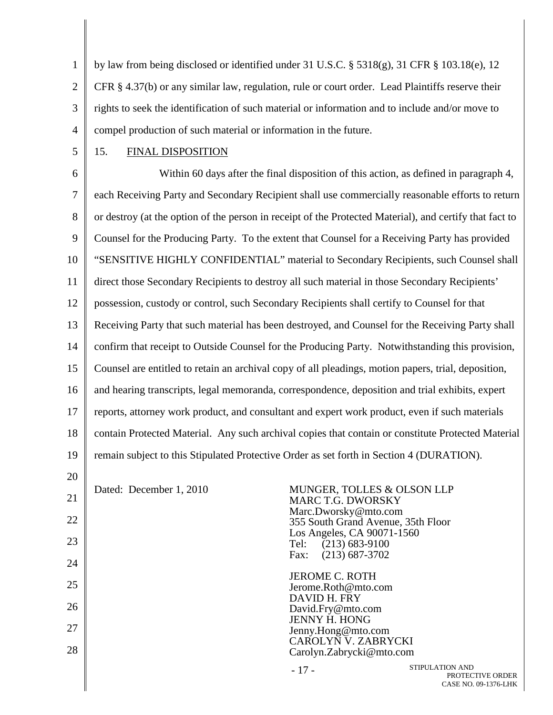1 2 3 4 by law from being disclosed or identified under 31 U.S.C.  $\S$  5318(g), 31 CFR  $\S$  103.18(e), 12 CFR § 4.37(b) or any similar law, regulation, rule or court order. Lead Plaintiffs reserve their rights to seek the identification of such material or information and to include and/or move to compel production of such material or information in the future.

5

## 15. FINAL DISPOSITION

6 7 8 9 10 11 12 13 14 15 16 17 18 19 20 Within 60 days after the final disposition of this action, as defined in paragraph 4, each Receiving Party and Secondary Recipient shall use commercially reasonable efforts to return or destroy (at the option of the person in receipt of the Protected Material), and certify that fact to Counsel for the Producing Party. To the extent that Counsel for a Receiving Party has provided "SENSITIVE HIGHLY CONFIDENTIAL" material to Secondary Recipients, such Counsel shall direct those Secondary Recipients to destroy all such material in those Secondary Recipients' possession, custody or control, such Secondary Recipients shall certify to Counsel for that Receiving Party that such material has been destroyed, and Counsel for the Receiving Party shall confirm that receipt to Outside Counsel for the Producing Party. Notwithstanding this provision, Counsel are entitled to retain an archival copy of all pleadings, motion papers, trial, deposition, and hearing transcripts, legal memoranda, correspondence, deposition and trial exhibits, expert reports, attorney work product, and consultant and expert work product, even if such materials contain Protected Material. Any such archival copies that contain or constitute Protected Material remain subject to this Stipulated Protective Order as set forth in Section 4 (DURATION).

21 22 23 24 25 26 27 28 Dated: December 1, 2010 MUNGER, TOLLES & OLSON LLP MARC T.G. DWORSKY Marc.Dworsky@mto.com 355 South Grand Avenue, 35th Floor Los Angeles, CA 90071-1560 Tel: (213) 683-9100<br>Fax: (213) 687-3702  $(213)$  687-3702 JEROME C. ROTH Jerome.Roth@mto.com DAVID H. FRY David.Fry@mto.com JENNY H. HONG Jenny.Hong@mto.com CAROLYN V. ZABRYCKI Carolyn.Zabrycki@mto.com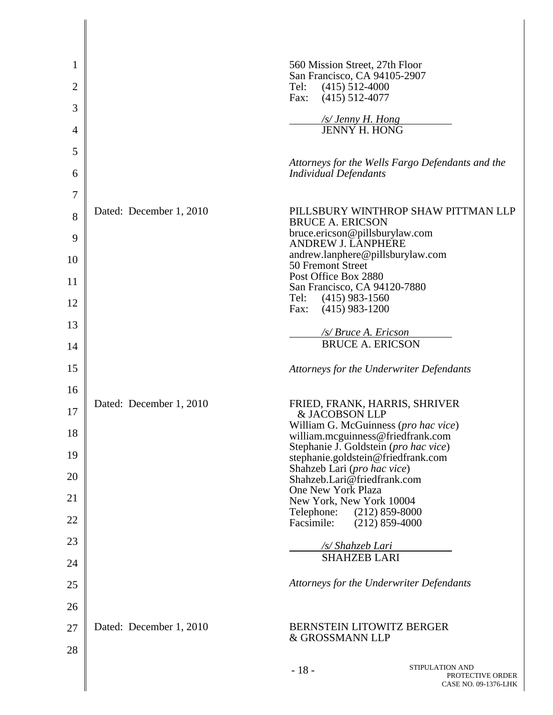| 1              |                         | 560 Mission Street, 27th Floor                                                                   |
|----------------|-------------------------|--------------------------------------------------------------------------------------------------|
| $\overline{c}$ |                         | San Francisco, CA 94105-2907<br>Tel:<br>$(415)$ 512-4000                                         |
| 3              |                         | Fax:<br>$(415)$ 512-4077                                                                         |
| 4              |                         | /s/ Jenny H. Hong<br>JENNY H. HONG                                                               |
| 5              |                         |                                                                                                  |
| 6              |                         | Attorneys for the Wells Fargo Defendants and the<br><b>Individual Defendants</b>                 |
| $\tau$         |                         |                                                                                                  |
| 8              | Dated: December 1, 2010 | PILLSBURY WINTHROP SHAW PITTMAN LLP<br><b>BRUCE A. ERICSON</b><br>bruce.ericson@pillsburylaw.com |
| 9<br>10        |                         | <b>ANDREW J. LANPHERE</b><br>andrew.lanphere@pillsburylaw.com                                    |
| 11             |                         | 50 Fremont Street<br>Post Office Box 2880                                                        |
|                |                         | San Francisco, CA 94120-7880<br>Tel:<br>$(415)$ 983-1560                                         |
| 12             |                         | Fax:<br>$(415)$ 983-1200                                                                         |
| 13             |                         | /s/ Bruce A. Ericson                                                                             |
| 14             |                         | <b>BRUCE A. ERICSON</b>                                                                          |
| 15             |                         | Attorneys for the Underwriter Defendants                                                         |
| 16             | Dated: December 1, 2010 | FRIED, FRANK, HARRIS, SHRIVER                                                                    |
| 17             |                         | & JACOBSON LLP<br>William G. McGuinness (pro hac vice)                                           |
| 18             |                         | william.mcguinness@friedfrank.com<br>Stephanie J. Goldstein (pro hac vice)                       |
| 19             |                         | stephanie.goldstein@friedfrank.com<br>Shahzeb Lari (pro hac vice)                                |
| 20             |                         | Shahzeb.Lari@friedfrank.com                                                                      |
| 21             |                         | One New York Plaza<br>New York, New York 10004                                                   |
| 22             |                         | $(212)$ 859-8000<br>Telephone:<br>Facsimile:<br>$(212)$ 859-4000                                 |
| 23             |                         | /s/ Shahzeb Lari                                                                                 |
| 24             |                         | <b>SHAHZEB LARI</b>                                                                              |
| 25             |                         | Attorneys for the Underwriter Defendants                                                         |
| 26             |                         |                                                                                                  |
| 27             | Dated: December 1, 2010 | <b>BERNSTEIN LITOWITZ BERGER</b><br>& GROSSMANN LLP                                              |
| 28             |                         | STIPULATION AND<br>$-18-$<br>PROTECTIVE ORDER                                                    |
|                |                         | CASE NO. 09-1376-LHK                                                                             |

 $\parallel$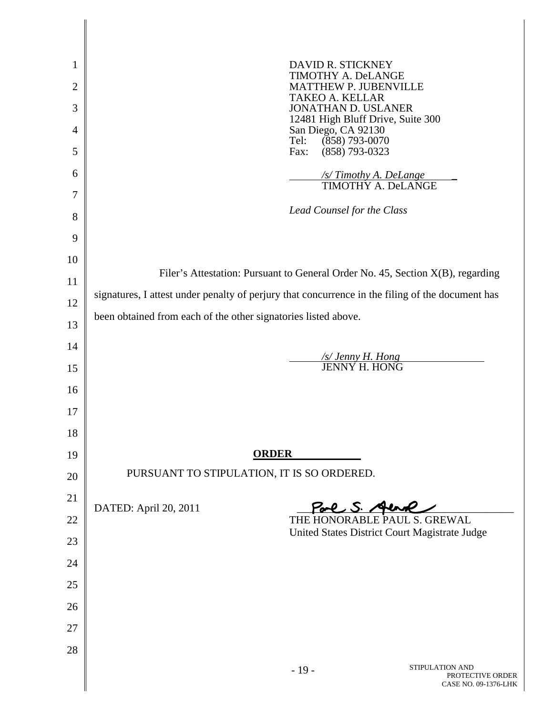| 1              | DAVID R. STICKNEY                                                                                |  |
|----------------|--------------------------------------------------------------------------------------------------|--|
| $\overline{c}$ | <b>TIMOTHY A. DeLANGE</b><br><b>MATTHEW P. JUBENVILLE</b>                                        |  |
| 3              | <b>TAKEO A. KELLAR</b><br><b>JONATHAN D. USLANER</b>                                             |  |
| $\overline{4}$ | 12481 High Bluff Drive, Suite 300<br>San Diego, CA 92130                                         |  |
| 5              | $(858)$ 793-0070<br>Tel:<br>$(858)$ 793-0323<br>Fax:                                             |  |
| 6              | /s/Timothy A. DeLange<br>TIMOTHY A. DeLANGE                                                      |  |
| 7              |                                                                                                  |  |
| 8              | Lead Counsel for the Class                                                                       |  |
| 9              |                                                                                                  |  |
| 10             |                                                                                                  |  |
| 11             | Filer's Attestation: Pursuant to General Order No. 45, Section X(B), regarding                   |  |
| 12             | signatures, I attest under penalty of perjury that concurrence in the filing of the document has |  |
| 13             | been obtained from each of the other signatories listed above.                                   |  |
| 14             |                                                                                                  |  |
| 15             | /s/ Jenny H. Hong<br>JENNY H. HONG                                                               |  |
| 16             |                                                                                                  |  |
| 17             |                                                                                                  |  |
| 18             |                                                                                                  |  |
| 19             | <b>ORDER</b>                                                                                     |  |
| 20             | PURSUANT TO STIPULATION, IT IS SO ORDERED.                                                       |  |
| 21             | Pare S. Aund<br>DATED: April 20, 2011                                                            |  |
| 22             | THE HONORABLE PAUL S. GREWAL<br>United States District Court Magistrate Judge                    |  |
| 23             |                                                                                                  |  |
| 24             |                                                                                                  |  |
| 25             |                                                                                                  |  |
| 26             |                                                                                                  |  |
| 27             |                                                                                                  |  |
| 28             |                                                                                                  |  |
|                | STIPULATION AND<br>$-19-$<br>PROTECTIVE ORDER<br>CASE NO. 09-1376-LHK                            |  |